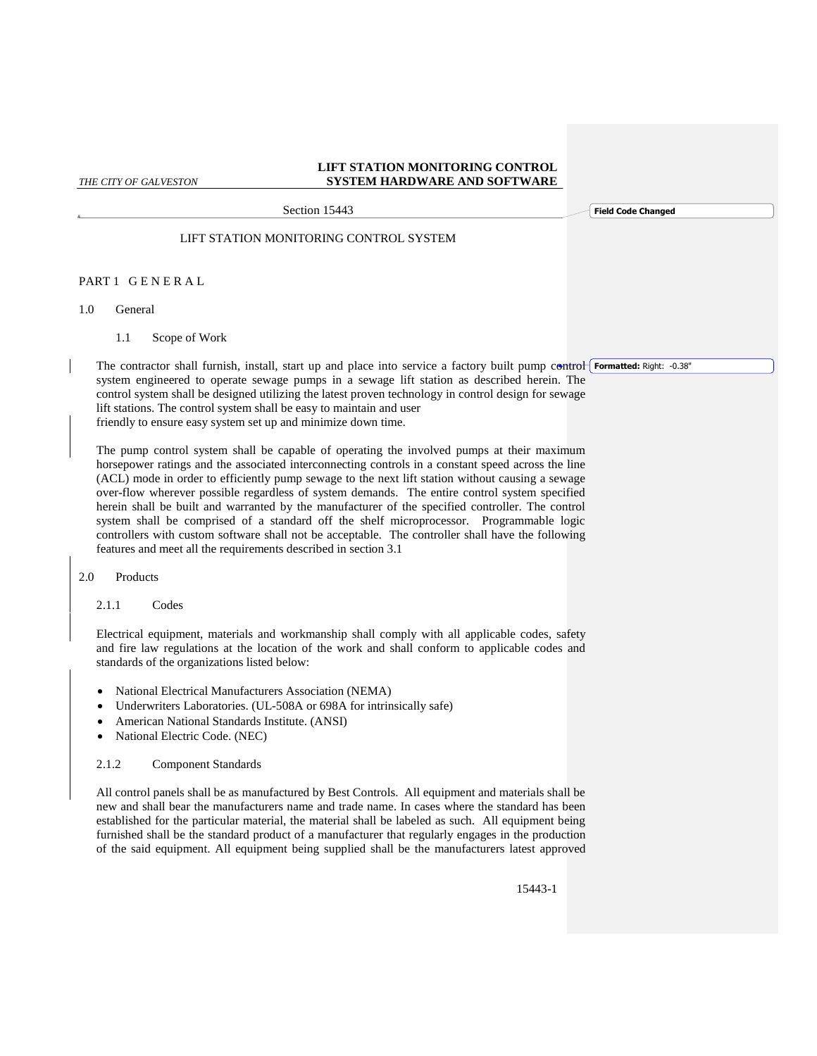Section 15443

**Field Code Changed**

LIFT STATION MONITORING CONTROL SYSTEM

## PART 1 G E N E R A L

- 1.0 General
	- 1.1 Scope of Work

The contractor shall furnish, install, start up and place into service a factory built pump control **Formatted:** Right: -0.38"system engineered to operate sewage pumps in a sewage lift station as described herein. The control system shall be designed utilizing the latest proven technology in control design for sewage lift stations. The control system shall be easy to maintain and user friendly to ensure easy system set up and minimize down time.

The pump control system shall be capable of operating the involved pumps at their maximum horsepower ratings and the associated interconnecting controls in a constant speed across the line (ACL) mode in order to efficiently pump sewage to the next lift station without causing a sewage over-flow wherever possible regardless of system demands. The entire control system specified herein shall be built and warranted by the manufacturer of the specified controller. The control system shall be comprised of a standard off the shelf microprocessor. Programmable logic controllers with custom software shall not be acceptable. The controller shall have the following features and meet all the requirements described in section 3.1

2.0 Products

2.1.1 Codes

Electrical equipment, materials and workmanship shall comply with all applicable codes, safety and fire law regulations at the location of the work and shall conform to applicable codes and standards of the organizations listed below:

- National Electrical Manufacturers Association (NEMA)
- Underwriters Laboratories. (UL-508A or 698A for intrinsically safe)
- American National Standards Institute. (ANSI)
- National Electric Code. (NEC)

## 2.1.2 Component Standards

All control panels shall be as manufactured by Best Controls. All equipment and materials shall be new and shall bear the manufacturers name and trade name. In cases where the standard has been established for the particular material, the material shall be labeled as such. All equipment being furnished shall be the standard product of a manufacturer that regularly engages in the production of the said equipment. All equipment being supplied shall be the manufacturers latest approved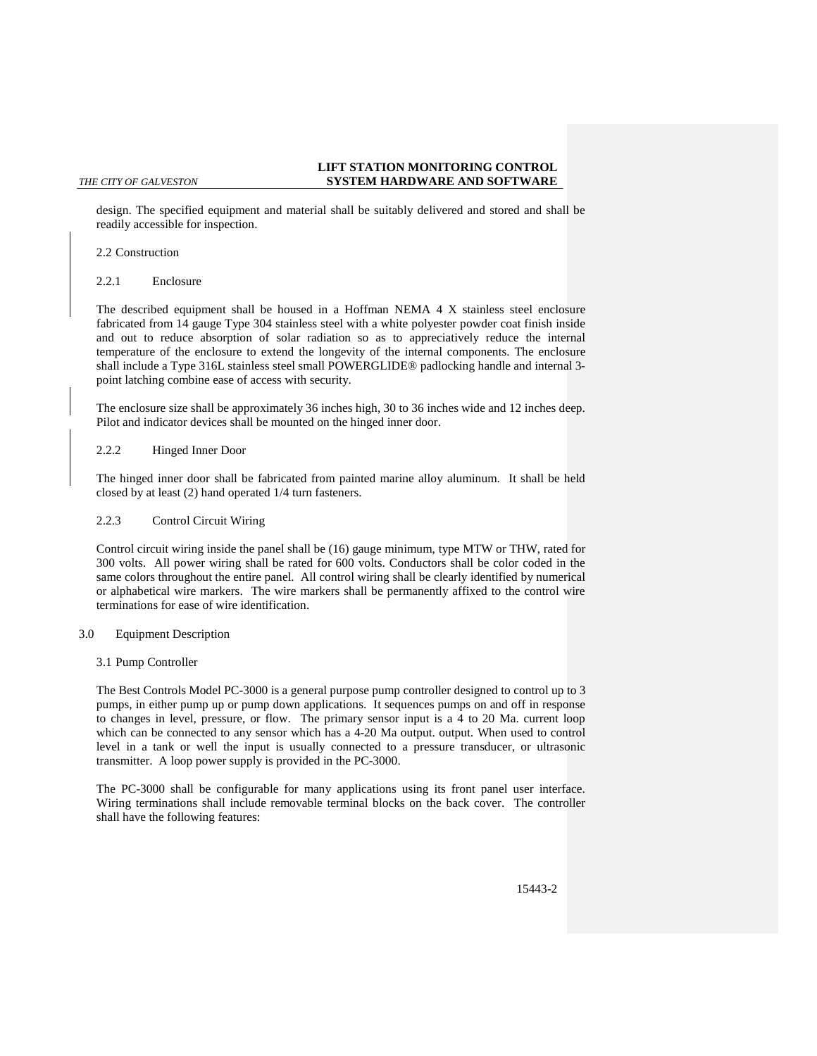design. The specified equipment and material shall be suitably delivered and stored and shall be readily accessible for inspection.

## 2.2 Construction

2.2.1 Enclosure

The described equipment shall be housed in a Hoffman NEMA 4 X stainless steel enclosure fabricated from 14 gauge Type 304 stainless steel with a white polyester powder coat finish inside and out to reduce absorption of solar radiation so as to appreciatively reduce the internal temperature of the enclosure to extend the longevity of the internal components. The enclosure shall include a Type 316L stainless steel small POWERGLIDE® padlocking handle and internal 3 point latching combine ease of access with security.

The enclosure size shall be approximately 36 inches high, 30 to 36 inches wide and 12 inches deep. Pilot and indicator devices shall be mounted on the hinged inner door.

### 2.2.2 Hinged Inner Door

The hinged inner door shall be fabricated from painted marine alloy aluminum. It shall be held closed by at least (2) hand operated 1/4 turn fasteners.

## 2.2.3 Control Circuit Wiring

Control circuit wiring inside the panel shall be (16) gauge minimum, type MTW or THW, rated for 300 volts. All power wiring shall be rated for 600 volts. Conductors shall be color coded in the same colors throughout the entire panel. All control wiring shall be clearly identified by numerical or alphabetical wire markers. The wire markers shall be permanently affixed to the control wire terminations for ease of wire identification.

### 3.0 Equipment Description

## 3.1 Pump Controller

The Best Controls Model PC-3000 is a general purpose pump controller designed to control up to 3 pumps, in either pump up or pump down applications. It sequences pumps on and off in response to changes in level, pressure, or flow. The primary sensor input is a 4 to 20 Ma. current loop which can be connected to any sensor which has a 4-20 Ma output. output. When used to control level in a tank or well the input is usually connected to a pressure transducer, or ultrasonic transmitter. A loop power supply is provided in the PC-3000.

The PC-3000 shall be configurable for many applications using its front panel user interface. Wiring terminations shall include removable terminal blocks on the back cover. The controller shall have the following features: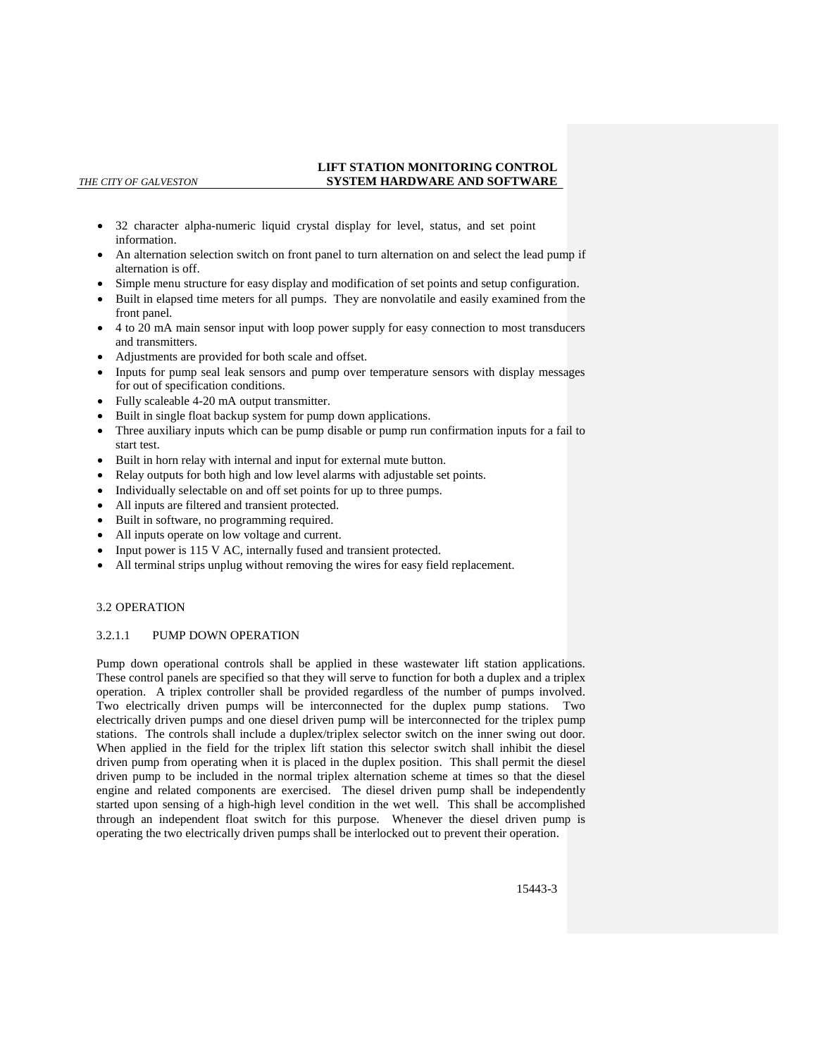- 32 character alpha-numeric liquid crystal display for level, status, and set point information.
- An alternation selection switch on front panel to turn alternation on and select the lead pump if alternation is off.
- Simple menu structure for easy display and modification of set points and setup configuration.
- Built in elapsed time meters for all pumps. They are nonvolatile and easily examined from the front panel.
- 4 to 20 mA main sensor input with loop power supply for easy connection to most transducers and transmitters.
- Adjustments are provided for both scale and offset.
- Inputs for pump seal leak sensors and pump over temperature sensors with display messages for out of specification conditions.
- Fully scaleable 4-20 mA output transmitter.
- Built in single float backup system for pump down applications.
- Three auxiliary inputs which can be pump disable or pump run confirmation inputs for a fail to start test.
- Built in horn relay with internal and input for external mute button.
- Relay outputs for both high and low level alarms with adjustable set points.
- Individually selectable on and off set points for up to three pumps.
- All inputs are filtered and transient protected.
- Built in software, no programming required.
- All inputs operate on low voltage and current.
- Input power is 115 V AC, internally fused and transient protected.
- All terminal strips unplug without removing the wires for easy field replacement.

## 3.2 OPERATION

## 3.2.1.1 PUMP DOWN OPERATION

Pump down operational controls shall be applied in these wastewater lift station applications. These control panels are specified so that they will serve to function for both a duplex and a triplex operation. A triplex controller shall be provided regardless of the number of pumps involved. Two electrically driven pumps will be interconnected for the duplex pump stations. Two electrically driven pumps and one diesel driven pump will be interconnected for the triplex pump stations. The controls shall include a duplex/triplex selector switch on the inner swing out door. When applied in the field for the triplex lift station this selector switch shall inhibit the diesel driven pump from operating when it is placed in the duplex position. This shall permit the diesel driven pump to be included in the normal triplex alternation scheme at times so that the diesel engine and related components are exercised. The diesel driven pump shall be independently started upon sensing of a high-high level condition in the wet well. This shall be accomplished through an independent float switch for this purpose. Whenever the diesel driven pump is operating the two electrically driven pumps shall be interlocked out to prevent their operation.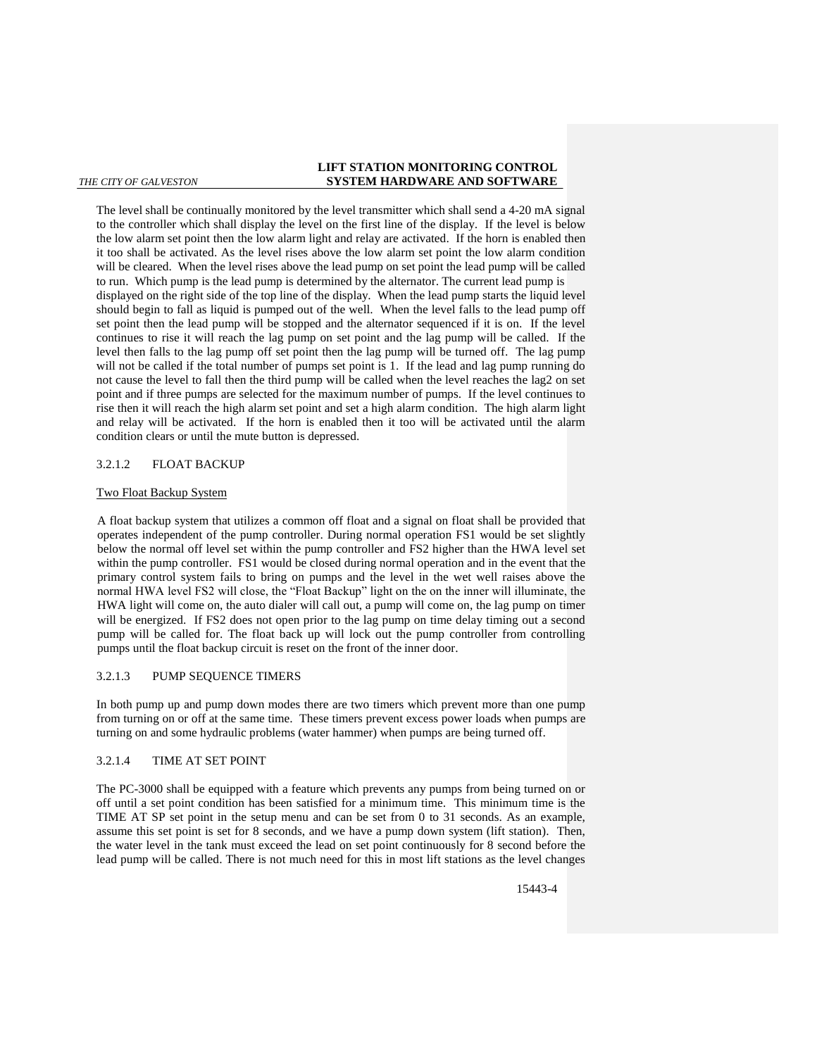The level shall be continually monitored by the level transmitter which shall send a 4-20 mA signal to the controller which shall display the level on the first line of the display. If the level is below the low alarm set point then the low alarm light and relay are activated. If the horn is enabled then it too shall be activated. As the level rises above the low alarm set point the low alarm condition will be cleared. When the level rises above the lead pump on set point the lead pump will be called to run. Which pump is the lead pump is determined by the alternator. The current lead pump is displayed on the right side of the top line of the display. When the lead pump starts the liquid level should begin to fall as liquid is pumped out of the well. When the level falls to the lead pump off set point then the lead pump will be stopped and the alternator sequenced if it is on. If the level continues to rise it will reach the lag pump on set point and the lag pump will be called. If the level then falls to the lag pump off set point then the lag pump will be turned off. The lag pump will not be called if the total number of pumps set point is 1. If the lead and lag pump running do not cause the level to fall then the third pump will be called when the level reaches the lag2 on set point and if three pumps are selected for the maximum number of pumps. If the level continues to rise then it will reach the high alarm set point and set a high alarm condition. The high alarm light and relay will be activated. If the horn is enabled then it too will be activated until the alarm condition clears or until the mute button is depressed.

## 3.2.1.2 FLOAT BACKUP

## Two Float Backup System

A float backup system that utilizes a common off float and a signal on float shall be provided that operates independent of the pump controller. During normal operation FS1 would be set slightly below the normal off level set within the pump controller and FS2 higher than the HWA level set within the pump controller. FS1 would be closed during normal operation and in the event that the primary control system fails to bring on pumps and the level in the wet well raises above the normal HWA level FS2 will close, the "Float Backup" light on the on the inner will illuminate, the HWA light will come on, the auto dialer will call out, a pump will come on, the lag pump on timer will be energized. If FS2 does not open prior to the lag pump on time delay timing out a second pump will be called for. The float back up will lock out the pump controller from controlling pumps until the float backup circuit is reset on the front of the inner door.

## 3.2.1.3 PUMP SEQUENCE TIMERS

In both pump up and pump down modes there are two timers which prevent more than one pump from turning on or off at the same time. These timers prevent excess power loads when pumps are turning on and some hydraulic problems (water hammer) when pumps are being turned off.

## 3.2.1.4 TIME AT SET POINT

The PC-3000 shall be equipped with a feature which prevents any pumps from being turned on or off until a set point condition has been satisfied for a minimum time. This minimum time is the TIME AT SP set point in the setup menu and can be set from 0 to 31 seconds. As an example, assume this set point is set for 8 seconds, and we have a pump down system (lift station). Then, the water level in the tank must exceed the lead on set point continuously for 8 second before the lead pump will be called. There is not much need for this in most lift stations as the level changes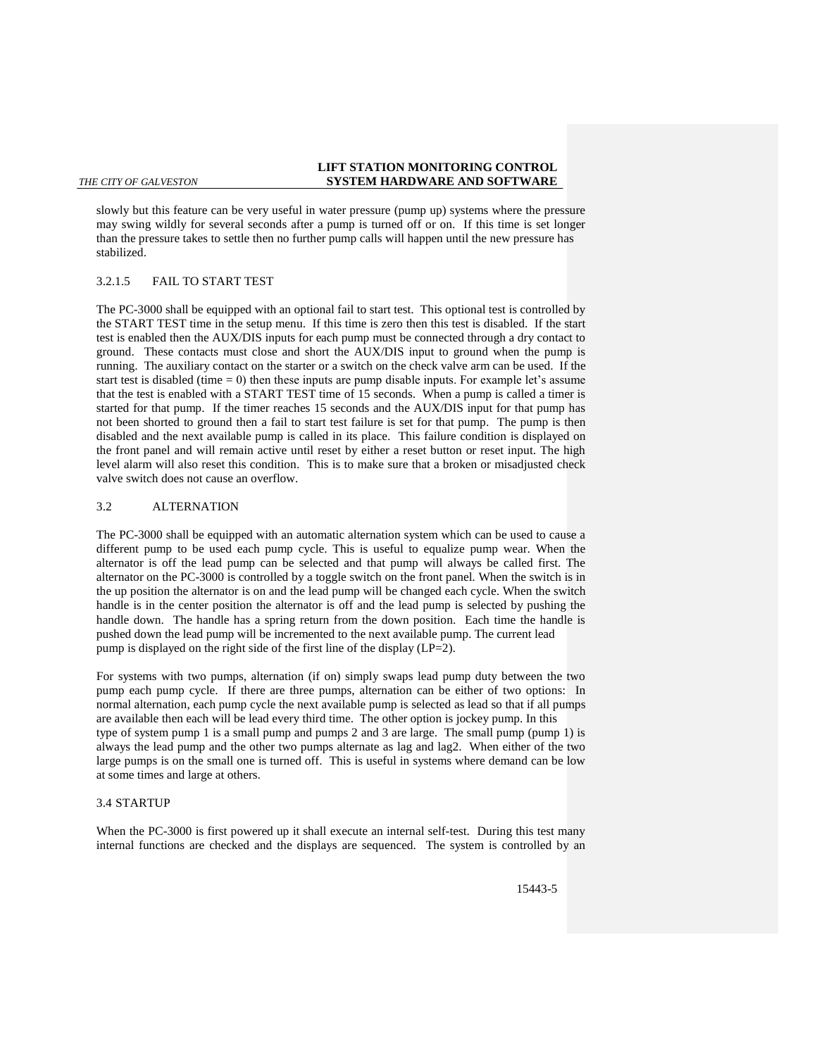slowly but this feature can be very useful in water pressure (pump up) systems where the pressure may swing wildly for several seconds after a pump is turned off or on. If this time is set longer than the pressure takes to settle then no further pump calls will happen until the new pressure has stabilized.

## 3.2.1.5 FAIL TO START TEST

The PC-3000 shall be equipped with an optional fail to start test. This optional test is controlled by the START TEST time in the setup menu. If this time is zero then this test is disabled. If the start test is enabled then the AUX/DIS inputs for each pump must be connected through a dry contact to ground. These contacts must close and short the AUX/DIS input to ground when the pump is running. The auxiliary contact on the starter or a switch on the check valve arm can be used. If the start test is disabled (time  $= 0$ ) then these inputs are pump disable inputs. For example let's assume that the test is enabled with a START TEST time of 15 seconds. When a pump is called a timer is started for that pump. If the timer reaches 15 seconds and the AUX/DIS input for that pump has not been shorted to ground then a fail to start test failure is set for that pump. The pump is then disabled and the next available pump is called in its place. This failure condition is displayed on the front panel and will remain active until reset by either a reset button or reset input. The high level alarm will also reset this condition. This is to make sure that a broken or misadjusted check valve switch does not cause an overflow.

## 3.2 ALTERNATION

The PC-3000 shall be equipped with an automatic alternation system which can be used to cause a different pump to be used each pump cycle. This is useful to equalize pump wear. When the alternator is off the lead pump can be selected and that pump will always be called first. The alternator on the PC-3000 is controlled by a toggle switch on the front panel. When the switch is in the up position the alternator is on and the lead pump will be changed each cycle. When the switch handle is in the center position the alternator is off and the lead pump is selected by pushing the handle down. The handle has a spring return from the down position. Each time the handle is pushed down the lead pump will be incremented to the next available pump. The current lead pump is displayed on the right side of the first line of the display (LP=2).

For systems with two pumps, alternation (if on) simply swaps lead pump duty between the two pump each pump cycle. If there are three pumps, alternation can be either of two options: In normal alternation, each pump cycle the next available pump is selected as lead so that if all pumps are available then each will be lead every third time. The other option is jockey pump. In this type of system pump 1 is a small pump and pumps 2 and 3 are large. The small pump (pump 1) is always the lead pump and the other two pumps alternate as lag and lag2. When either of the two large pumps is on the small one is turned off. This is useful in systems where demand can be low at some times and large at others.

### 3.4 STARTUP

When the PC-3000 is first powered up it shall execute an internal self-test. During this test many internal functions are checked and the displays are sequenced. The system is controlled by an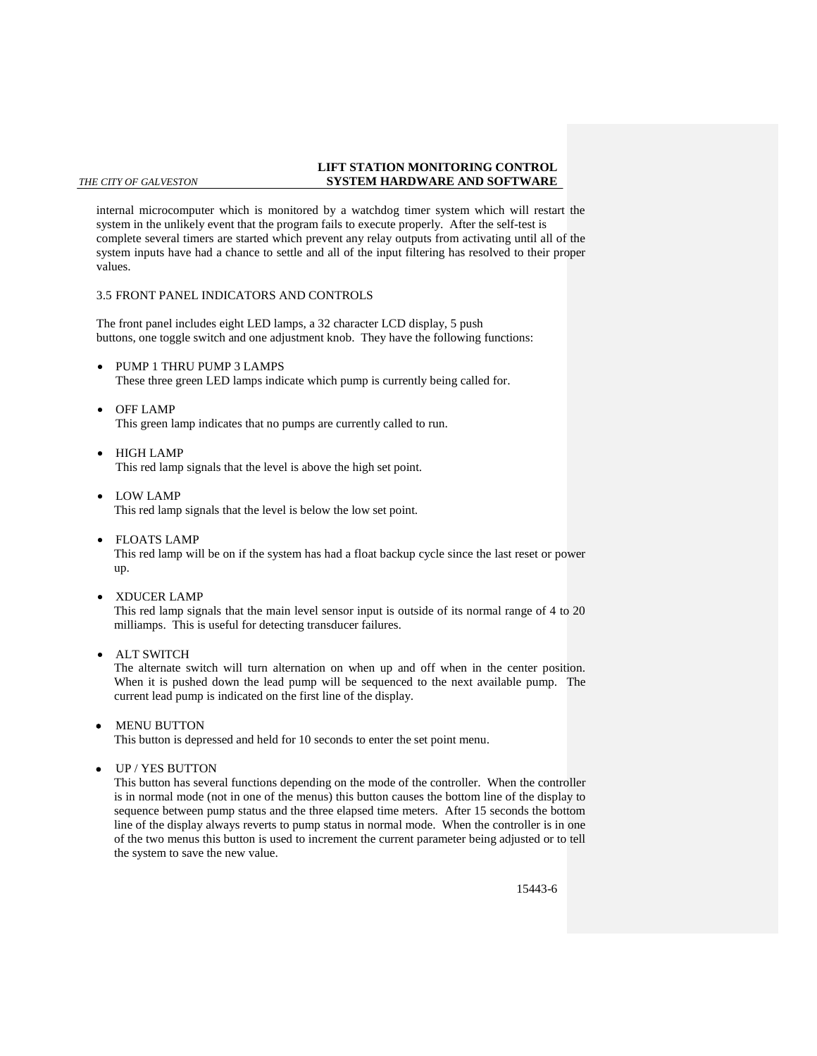internal microcomputer which is monitored by a watchdog timer system which will restart the system in the unlikely event that the program fails to execute properly. After the self-test is complete several timers are started which prevent any relay outputs from activating until all of the system inputs have had a chance to settle and all of the input filtering has resolved to their proper values.

## 3.5 FRONT PANEL INDICATORS AND CONTROLS

The front panel includes eight LED lamps, a 32 character LCD display, 5 push buttons, one toggle switch and one adjustment knob. They have the following functions:

- PUMP 1 THRU PUMP 3 LAMPS These three green LED lamps indicate which pump is currently being called for.
- OFF LAMP

This green lamp indicates that no pumps are currently called to run.

- HIGH LAMP This red lamp signals that the level is above the high set point.
- LOW LAMP This red lamp signals that the level is below the low set point.
- FLOATS LAMP This red lamp will be on if the system has had a float backup cycle since the last reset or power up.
- XDUCER LAMP

This red lamp signals that the main level sensor input is outside of its normal range of 4 to 20 milliamps. This is useful for detecting transducer failures.

ALT SWITCH

The alternate switch will turn alternation on when up and off when in the center position. When it is pushed down the lead pump will be sequenced to the next available pump. The current lead pump is indicated on the first line of the display.

MENU BUTTON

This button is depressed and held for 10 seconds to enter the set point menu.

UP / YES BUTTON

This button has several functions depending on the mode of the controller. When the controller is in normal mode (not in one of the menus) this button causes the bottom line of the display to sequence between pump status and the three elapsed time meters. After 15 seconds the bottom line of the display always reverts to pump status in normal mode. When the controller is in one of the two menus this button is used to increment the current parameter being adjusted or to tell the system to save the new value.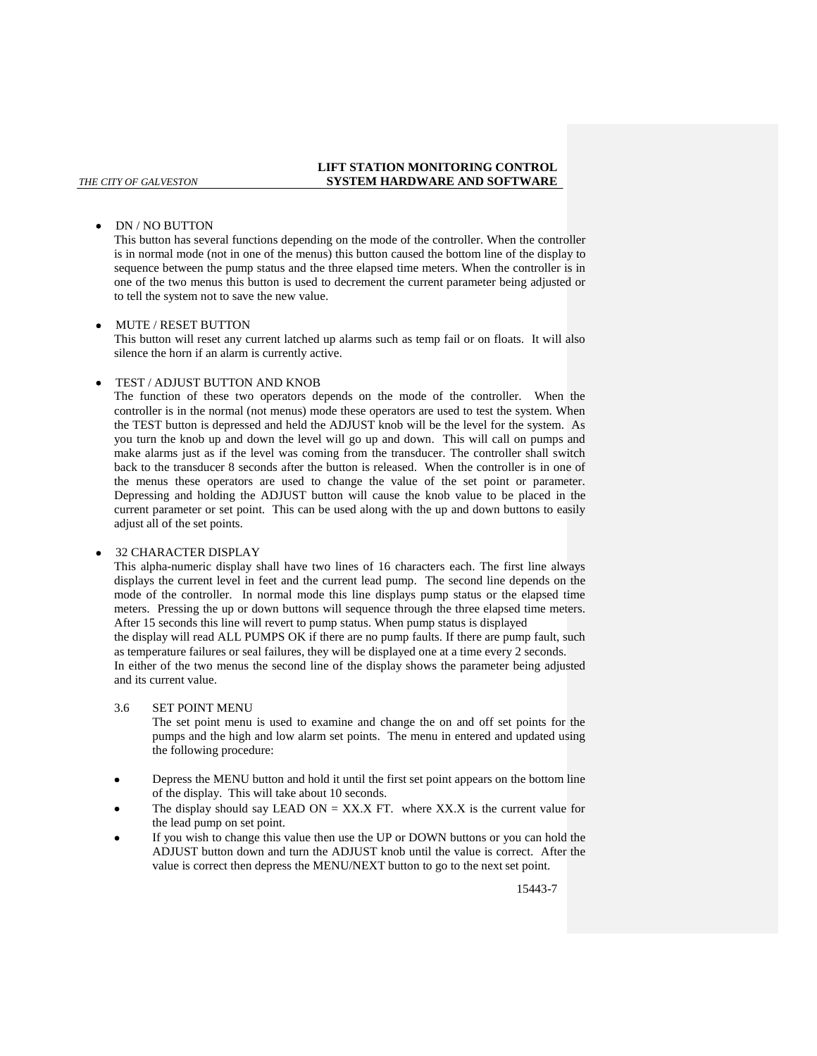## DN / NO BUTTON

This button has several functions depending on the mode of the controller. When the controller is in normal mode (not in one of the menus) this button caused the bottom line of the display to sequence between the pump status and the three elapsed time meters. When the controller is in one of the two menus this button is used to decrement the current parameter being adjusted or to tell the system not to save the new value.

## MUTE / RESET BUTTON

This button will reset any current latched up alarms such as temp fail or on floats. It will also silence the horn if an alarm is currently active.

## TEST / ADJUST BUTTON AND KNOB

The function of these two operators depends on the mode of the controller. When the controller is in the normal (not menus) mode these operators are used to test the system. When the TEST button is depressed and held the ADJUST knob will be the level for the system. As you turn the knob up and down the level will go up and down. This will call on pumps and make alarms just as if the level was coming from the transducer. The controller shall switch back to the transducer 8 seconds after the button is released. When the controller is in one of the menus these operators are used to change the value of the set point or parameter. Depressing and holding the ADJUST button will cause the knob value to be placed in the current parameter or set point. This can be used along with the up and down buttons to easily adjust all of the set points.

## 32 CHARACTER DISPLAY

This alpha-numeric display shall have two lines of 16 characters each. The first line always displays the current level in feet and the current lead pump. The second line depends on the mode of the controller. In normal mode this line displays pump status or the elapsed time meters. Pressing the up or down buttons will sequence through the three elapsed time meters. After 15 seconds this line will revert to pump status. When pump status is displayed the display will read ALL PUMPS OK if there are no pump faults. If there are pump fault, such

as temperature failures or seal failures, they will be displayed one at a time every 2 seconds.

In either of the two menus the second line of the display shows the parameter being adjusted and its current value.

## 3.6 SET POINT MENU

The set point menu is used to examine and change the on and off set points for the pumps and the high and low alarm set points. The menu in entered and updated using the following procedure:

- Depress the MENU button and hold it until the first set point appears on the bottom line of the display. This will take about 10 seconds.
- The display should say LEAD ON = XX.X FT. where XX.X is the current value for the lead pump on set point.
- If you wish to change this value then use the UP or DOWN buttons or you can hold the ADJUST button down and turn the ADJUST knob until the value is correct. After the value is correct then depress the MENU/NEXT button to go to the next set point.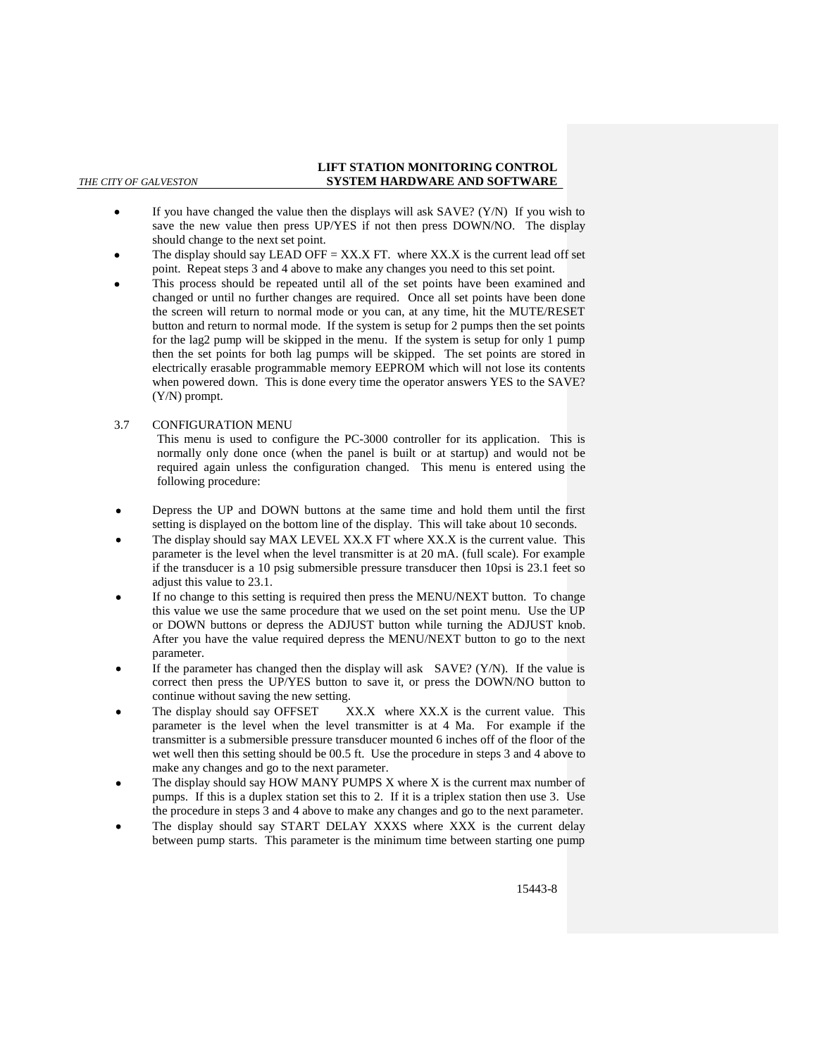- If you have changed the value then the displays will ask SAVE? (Y/N) If you wish to save the new value then press UP/YES if not then press DOWN/NO. The display should change to the next set point.
- The display should say LEAD OFF =  $XX.X$  FT. where  $XXXX$  is the current lead off set point. Repeat steps 3 and 4 above to make any changes you need to this set point.
- This process should be repeated until all of the set points have been examined and changed or until no further changes are required. Once all set points have been done the screen will return to normal mode or you can, at any time, hit the MUTE/RESET button and return to normal mode. If the system is setup for 2 pumps then the set points for the lag2 pump will be skipped in the menu. If the system is setup for only 1 pump then the set points for both lag pumps will be skipped. The set points are stored in electrically erasable programmable memory EEPROM which will not lose its contents when powered down. This is done every time the operator answers YES to the SAVE? (Y/N) prompt.
- 3.7 CONFIGURATION MENU

This menu is used to configure the PC-3000 controller for its application. This is normally only done once (when the panel is built or at startup) and would not be required again unless the configuration changed. This menu is entered using the following procedure:

- Depress the UP and DOWN buttons at the same time and hold them until the first setting is displayed on the bottom line of the display. This will take about 10 seconds.
- The display should say MAX LEVEL XX.X FT where XX.X is the current value. This parameter is the level when the level transmitter is at 20 mA. (full scale). For example if the transducer is a 10 psig submersible pressure transducer then 10psi is 23.1 feet so adjust this value to 23.1.
- If no change to this setting is required then press the MENU/NEXT button. To change this value we use the same procedure that we used on the set point menu. Use the UP or DOWN buttons or depress the ADJUST button while turning the ADJUST knob. After you have the value required depress the MENU/NEXT button to go to the next parameter.
- If the parameter has changed then the display will ask  $SAVE? (Y/N)$ . If the value is correct then press the UP/YES button to save it, or press the DOWN/NO button to continue without saving the new setting.
- The display should say OFFSET XX.X where XX.X is the current value. This parameter is the level when the level transmitter is at 4 Ma. For example if the transmitter is a submersible pressure transducer mounted 6 inches off of the floor of the wet well then this setting should be 00.5 ft. Use the procedure in steps 3 and 4 above to make any changes and go to the next parameter.
- The display should say HOW MANY PUMPS X where X is the current max number of pumps. If this is a duplex station set this to 2. If it is a triplex station then use 3. Use the procedure in steps 3 and 4 above to make any changes and go to the next parameter.
- The display should say START DELAY XXXS where XXX is the current delay between pump starts. This parameter is the minimum time between starting one pump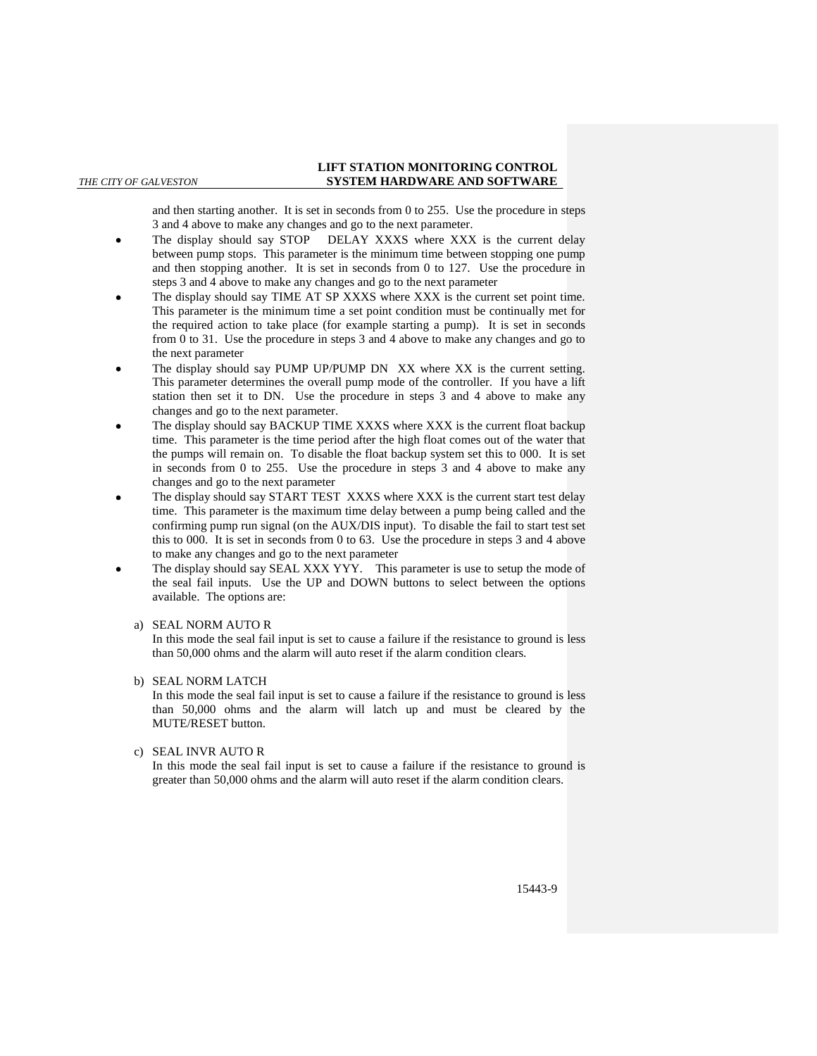and then starting another. It is set in seconds from 0 to 255. Use the procedure in steps 3 and 4 above to make any changes and go to the next parameter.

- The display should say STOP DELAY XXXS where XXX is the current delay between pump stops. This parameter is the minimum time between stopping one pump and then stopping another. It is set in seconds from 0 to 127. Use the procedure in steps 3 and 4 above to make any changes and go to the next parameter
- The display should say TIME AT SP XXXS where XXX is the current set point time. This parameter is the minimum time a set point condition must be continually met for the required action to take place (for example starting a pump). It is set in seconds from 0 to 31. Use the procedure in steps 3 and 4 above to make any changes and go to the next parameter
- The display should say PUMP UP/PUMP DN XX where XX is the current setting. This parameter determines the overall pump mode of the controller. If you have a lift station then set it to DN. Use the procedure in steps 3 and 4 above to make any changes and go to the next parameter.
- The display should say BACKUP TIME XXXS where XXX is the current float backup time. This parameter is the time period after the high float comes out of the water that the pumps will remain on. To disable the float backup system set this to 000. It is set in seconds from 0 to 255. Use the procedure in steps 3 and 4 above to make any changes and go to the next parameter
- The display should say START TEST XXXS where XXX is the current start test delay time. This parameter is the maximum time delay between a pump being called and the confirming pump run signal (on the AUX/DIS input). To disable the fail to start test set this to 000. It is set in seconds from 0 to 63. Use the procedure in steps 3 and 4 above to make any changes and go to the next parameter
- The display should say SEAL XXX YYY. This parameter is use to setup the mode of the seal fail inputs. Use the UP and DOWN buttons to select between the options available. The options are:

## a) SEAL NORM AUTO R

In this mode the seal fail input is set to cause a failure if the resistance to ground is less than 50,000 ohms and the alarm will auto reset if the alarm condition clears.

## b) SEAL NORM LATCH

In this mode the seal fail input is set to cause a failure if the resistance to ground is less than 50,000 ohms and the alarm will latch up and must be cleared by the MUTE/RESET button.

## c) SEAL INVR AUTO R

In this mode the seal fail input is set to cause a failure if the resistance to ground is greater than 50,000 ohms and the alarm will auto reset if the alarm condition clears.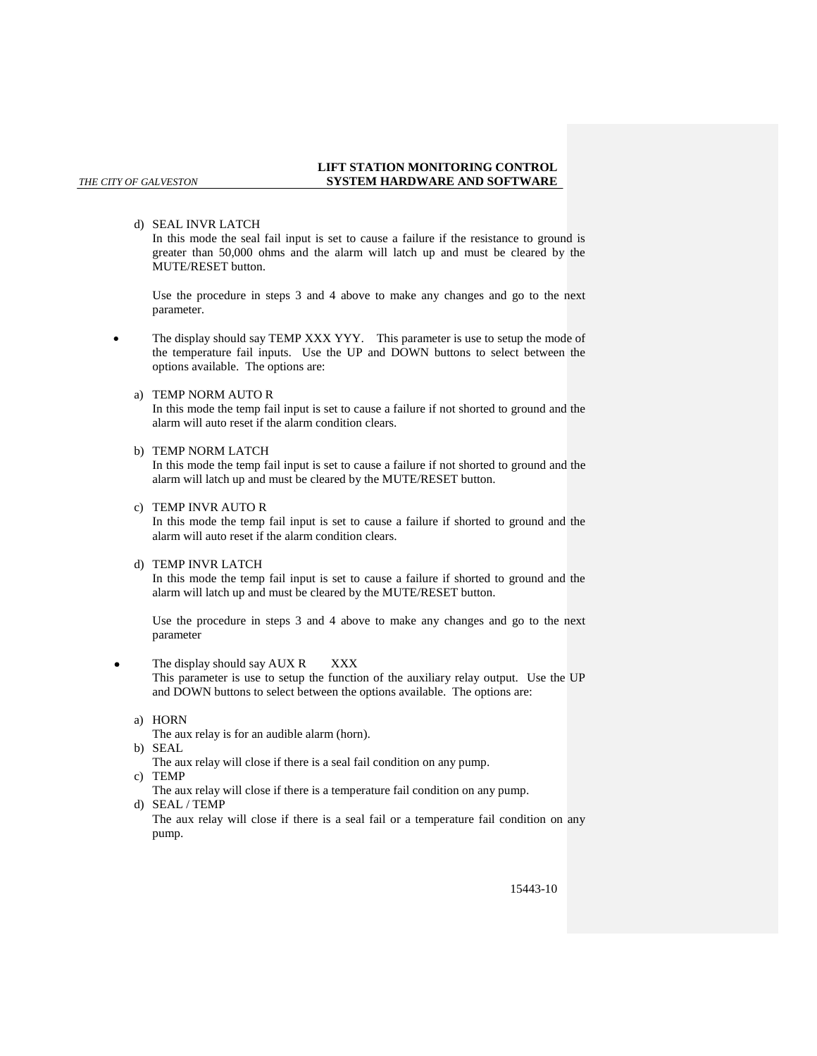d) SEAL INVR LATCH

In this mode the seal fail input is set to cause a failure if the resistance to ground is greater than 50,000 ohms and the alarm will latch up and must be cleared by the MUTE/RESET button.

Use the procedure in steps 3 and 4 above to make any changes and go to the next parameter.

- The display should say TEMP XXX YYY. This parameter is use to setup the mode of the temperature fail inputs. Use the UP and DOWN buttons to select between the options available. The options are:
	- a) TEMP NORM AUTO R

In this mode the temp fail input is set to cause a failure if not shorted to ground and the alarm will auto reset if the alarm condition clears.

### b) TEMP NORM LATCH

In this mode the temp fail input is set to cause a failure if not shorted to ground and the alarm will latch up and must be cleared by the MUTE/RESET button.

c) TEMP INVR AUTO R

In this mode the temp fail input is set to cause a failure if shorted to ground and the alarm will auto reset if the alarm condition clears.

d) TEMP INVR LATCH

In this mode the temp fail input is set to cause a failure if shorted to ground and the alarm will latch up and must be cleared by the MUTE/RESET button.

Use the procedure in steps 3 and 4 above to make any changes and go to the next parameter

The display should say AUX R XXX

This parameter is use to setup the function of the auxiliary relay output. Use the UP and DOWN buttons to select between the options available. The options are:

a) HORN

The aux relay is for an audible alarm (horn).

b) SEAL

The aux relay will close if there is a seal fail condition on any pump.

c) TEMP

The aux relay will close if there is a temperature fail condition on any pump. d) SEAL / TEMP

The aux relay will close if there is a seal fail or a temperature fail condition on any pump.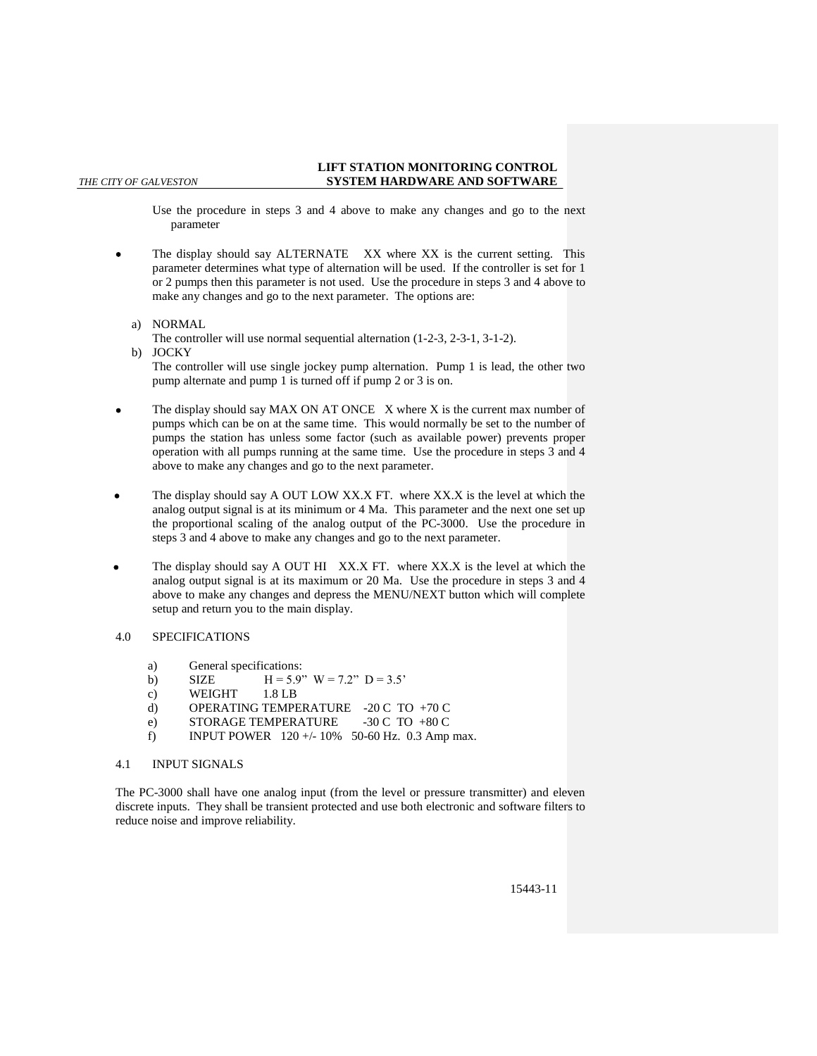Use the procedure in steps 3 and 4 above to make any changes and go to the next parameter

 The display should say ALTERNATE XX where XX is the current setting. This parameter determines what type of alternation will be used. If the controller is set for 1 or 2 pumps then this parameter is not used. Use the procedure in steps 3 and 4 above to make any changes and go to the next parameter. The options are:

## a) NORMAL

The controller will use normal sequential alternation (1-2-3, 2-3-1, 3-1-2).

- b) JOCKY The controller will use single jockey pump alternation. Pump 1 is lead, the other two pump alternate and pump 1 is turned off if pump 2 or 3 is on.
- The display should say MAX ON AT ONCE X where X is the current max number of pumps which can be on at the same time. This would normally be set to the number of pumps the station has unless some factor (such as available power) prevents proper operation with all pumps running at the same time. Use the procedure in steps 3 and 4 above to make any changes and go to the next parameter.
- The display should say A OUT LOW XX.X FT. where XX.X is the level at which the analog output signal is at its minimum or 4 Ma. This parameter and the next one set up the proportional scaling of the analog output of the PC-3000. Use the procedure in steps 3 and 4 above to make any changes and go to the next parameter.
- The display should say A OUT HI XX.X FT. where XX.X is the level at which the analog output signal is at its maximum or 20 Ma. Use the procedure in steps 3 and 4 above to make any changes and depress the MENU/NEXT button which will complete setup and return you to the main display.

## 4.0 SPECIFICATIONS

- a) General specifications:
- b) SIZE  $H = 5.9$ "  $W = 7.2$ "  $D = 3.5$ "
- c) WEIGHT 1.8 LB
- d) OPERATING TEMPERATURE -20 C TO +70 C
- e) STORAGE TEMPERATURE -30 C TO +80 C
- f) INPUT POWER  $120 + (-10\% 50 60 \text{ Hz}$ . 0.3 Amp max.

## 4.1 INPUT SIGNALS

The PC-3000 shall have one analog input (from the level or pressure transmitter) and eleven discrete inputs. They shall be transient protected and use both electronic and software filters to reduce noise and improve reliability.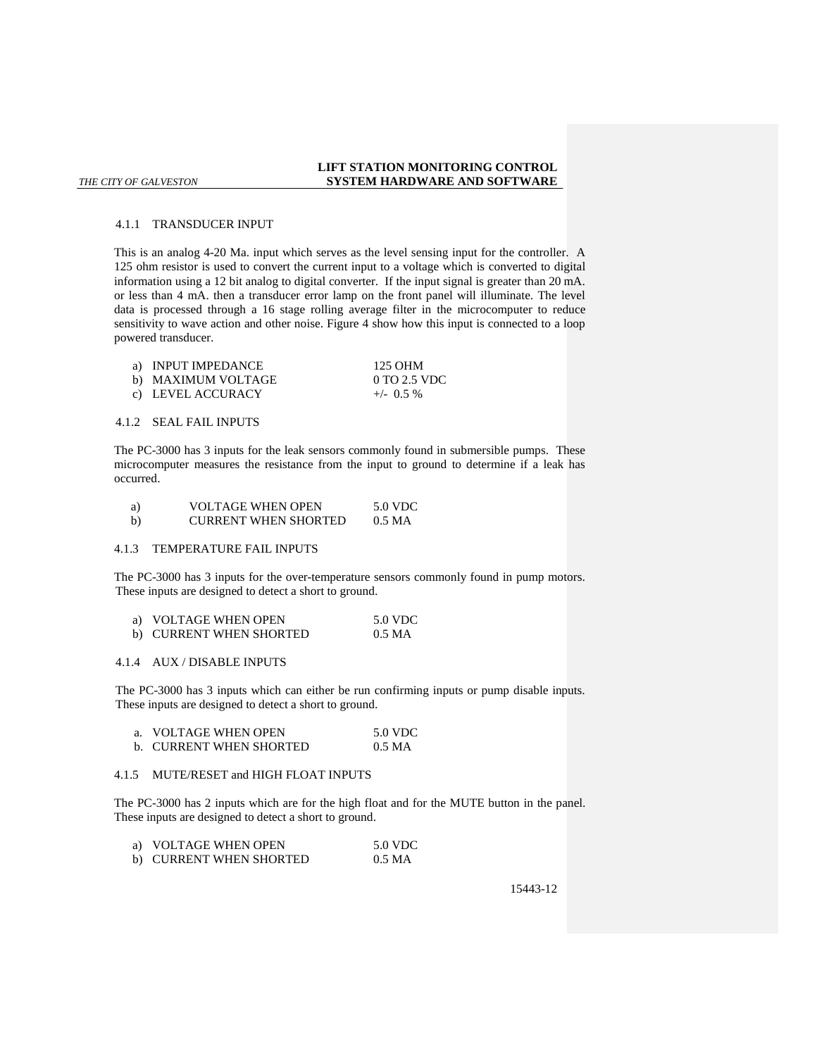#### 4.1.1 TRANSDUCER INPUT

This is an analog 4-20 Ma. input which serves as the level sensing input for the controller. A 125 ohm resistor is used to convert the current input to a voltage which is converted to digital information using a 12 bit analog to digital converter. If the input signal is greater than 20 mA. or less than 4 mA. then a transducer error lamp on the front panel will illuminate. The level data is processed through a 16 stage rolling average filter in the microcomputer to reduce sensitivity to wave action and other noise. Figure 4 show how this input is connected to a loop powered transducer.

| a) INPUT IMPEDANCE | 125 OHM      |
|--------------------|--------------|
| b) MAXIMUM VOLTAGE | 0 TO 2.5 VDC |
| c) LEVEL ACCURACY  | $+/-$ 0.5 %  |

## 4.1.2 SEAL FAIL INPUTS

The PC-3000 has 3 inputs for the leak sensors commonly found in submersible pumps. These microcomputer measures the resistance from the input to ground to determine if a leak has occurred.

| a) | <b>VOLTAGE WHEN OPEN</b>    | 5.0 VDC |
|----|-----------------------------|---------|
| b) | <b>CURRENT WHEN SHORTED</b> | 0.5 MA  |

### 4.1.3 TEMPERATURE FAIL INPUTS

The PC-3000 has 3 inputs for the over-temperature sensors commonly found in pump motors. These inputs are designed to detect a short to ground.

| a) VOLTAGE WHEN OPEN    | 5.0 VDC |
|-------------------------|---------|
| b) CURRENT WHEN SHORTED | 0.5 MA  |

### 4.1.4 AUX / DISABLE INPUTS

The PC-3000 has 3 inputs which can either be run confirming inputs or pump disable inputs. These inputs are designed to detect a short to ground.

| VOLTAGE WHEN OPEN              | 5.0 VDC |
|--------------------------------|---------|
| <b>b. CURRENT WHEN SHORTED</b> | 0.5 MA  |

## 4.1.5 MUTE/RESET and HIGH FLOAT INPUTS

The PC-3000 has 2 inputs which are for the high float and for the MUTE button in the panel. These inputs are designed to detect a short to ground.

| VOLTAGE WHEN OPEN       | 5.0 VDC |
|-------------------------|---------|
| b) CURRENT WHEN SHORTED | 0.5 MA  |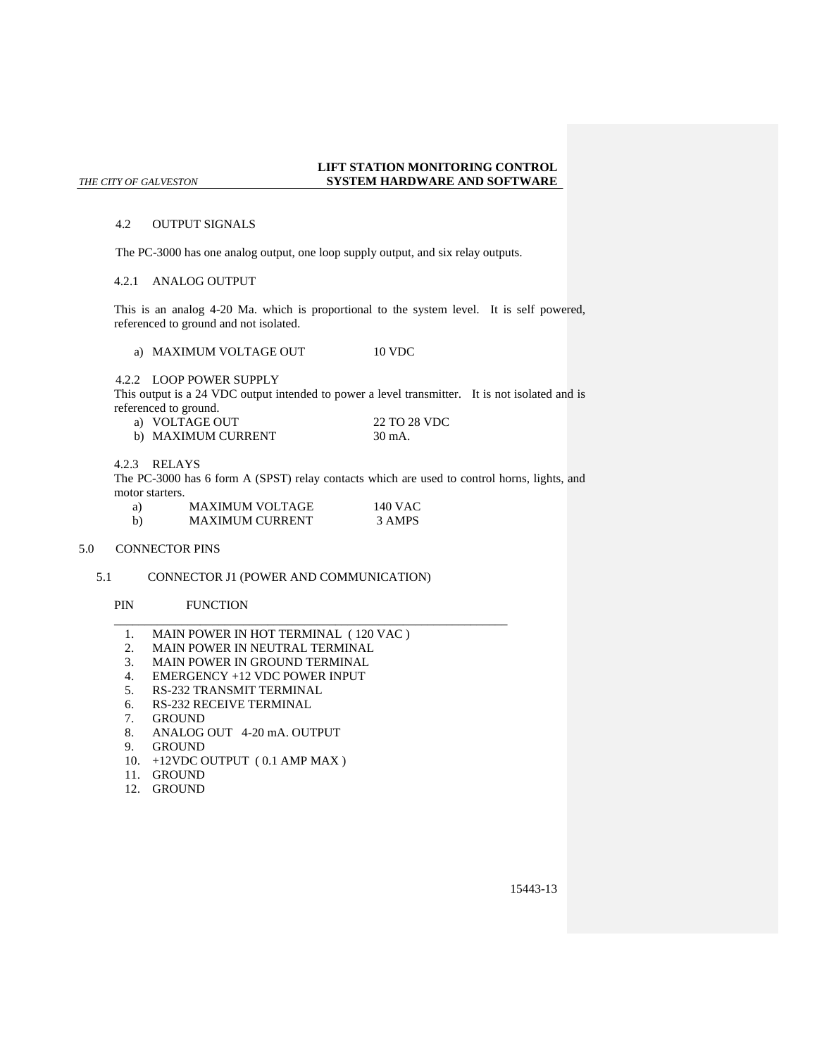### 4.2 OUTPUT SIGNALS

The PC-3000 has one analog output, one loop supply output, and six relay outputs.

## 4.2.1 ANALOG OUTPUT

This is an analog 4-20 Ma. which is proportional to the system level. It is self powered, referenced to ground and not isolated.

a) MAXIMUM VOLTAGE OUT 10 VDC

4.2.2 LOOP POWER SUPPLY

This output is a 24 VDC output intended to power a level transmitter. It is not isolated and is referenced to ground.

| a) VOLTAGE OUT     | 22 TO 28 VDC |
|--------------------|--------------|
| b) MAXIMUM CURRENT | 30 mA.       |

4.2.3 RELAYS

The PC-3000 has 6 form A (SPST) relay contacts which are used to control horns, lights, and motor starters.

| a)           | <b>MAXIMUM VOLTAGE</b> | 140 VAC |
|--------------|------------------------|---------|
| $\mathbf{b}$ | <b>MAXIMUM CURRENT</b> | 3 AMPS  |

5.0 CONNECTOR PINS

## 5.1 CONNECTOR J1 (POWER AND COMMUNICATION)

## PIN FUNCTION

1. MAIN POWER IN HOT TERMINAL ( 120 VAC )

\_\_\_\_\_\_\_\_\_\_\_\_\_\_\_\_\_\_\_\_\_\_\_\_\_\_\_\_\_\_\_\_\_\_\_\_\_\_\_\_\_\_\_\_\_\_\_\_\_\_\_\_\_\_\_\_\_\_\_\_\_\_\_\_

- 2. MAIN POWER IN NEUTRAL TERMINAL<br>3. MAIN POWER IN GROUND TERMINAL
- 3. MAIN POWER IN GROUND TERMINAL<br>4. EMERGENCY +12 VDC POWER INPUT
- 4. EMERGENCY +12 VDC POWER INPUT<br>5. RS-232 TRANSMIT TERMINAL
- 
- 5. RS-232 TRANSMIT TERMINAL<br>6. RS-232 RECEIVE TERMINAL 6. RS-232 RECEIVE TERMINAL
- **GROUND**
- 8. ANALOG OUT 4-20 mA. OUTPUT
- 9. GROUND
- 10. +12VDC OUTPUT ( 0.1 AMP MAX )
- 11. GROUND
- 12. GROUND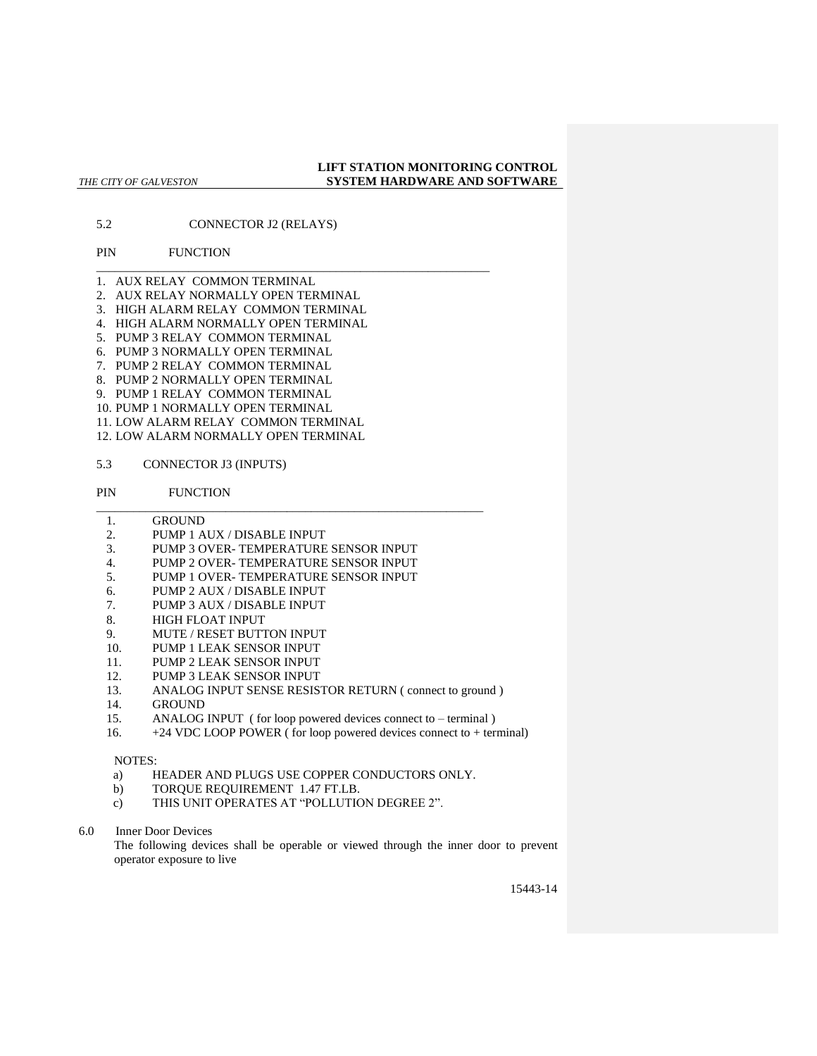5.2 CONNECTOR J2 (RELAYS)

## PIN FUNCTION

- 1. AUX RELAY COMMON TERMINAL
- 2. AUX RELAY NORMALLY OPEN TERMINAL
- 3. HIGH ALARM RELAY COMMON TERMINAL

\_\_\_\_\_\_\_\_\_\_\_\_\_\_\_\_\_\_\_\_\_\_\_\_\_\_\_\_\_\_\_\_\_\_\_\_\_\_\_\_\_\_\_\_\_\_\_\_\_\_\_\_\_\_\_\_\_\_\_\_\_\_\_\_

- 4. HIGH ALARM NORMALLY OPEN TERMINAL
- 5. PUMP 3 RELAY COMMON TERMINAL
- 6. PUMP 3 NORMALLY OPEN TERMINAL
- 7. PUMP 2 RELAY COMMON TERMINAL
- 8. PUMP 2 NORMALLY OPEN TERMINAL
- 9. PUMP 1 RELAY COMMON TERMINAL
- 10. PUMP 1 NORMALLY OPEN TERMINAL
- 11. LOW ALARM RELAY COMMON TERMINAL
- 12. LOW ALARM NORMALLY OPEN TERMINAL
- 5.3 CONNECTOR J3 (INPUTS)
- PIN FUNCTION
	- 1. GROUND
- 2. PUMP 1 AUX / DISABLE INPUT
- 3. PUMP 3 OVER- TEMPERATURE SENSOR INPUT
- 4. PUMP 2 OVER- TEMPERATURE SENSOR INPUT

\_\_\_\_\_\_\_\_\_\_\_\_\_\_\_\_\_\_\_\_\_\_\_\_\_\_\_\_\_\_\_\_\_\_\_\_\_\_\_\_\_\_\_\_\_\_\_\_\_\_\_\_\_\_\_\_\_\_\_\_\_\_\_

- 5. PUMP 1 OVER- TEMPERATURE SENSOR INPUT
- 6. PUMP 2 AUX / DISABLE INPUT
- 7. PUMP 3 AUX / DISABLE INPUT
- 8. HIGH FLOAT INPUT
- 9. MUTE / RESET BUTTON INPUT
- 10. PUMP 1 LEAK SENSOR INPUT
- 11. PUMP 2 LEAK SENSOR INPUT
- 12. PUMP 3 LEAK SENSOR INPUT
- 13. ANALOG INPUT SENSE RESISTOR RETURN (connect to ground)
- 14. GROUND
- 15. ANALOG INPUT ( for loop powered devices connect to terminal )
- 16. +24 VDC LOOP POWER ( for loop powered devices connect to + terminal)

### NOTES:

- a) HEADER AND PLUGS USE COPPER CONDUCTORS ONLY.
- b) TORQUE REQUIREMENT 1.47 FT.LB.
- c) THIS UNIT OPERATES AT "POLLUTION DEGREE 2".
- 6.0 Inner Door Devices

The following devices shall be operable or viewed through the inner door to prevent operator exposure to live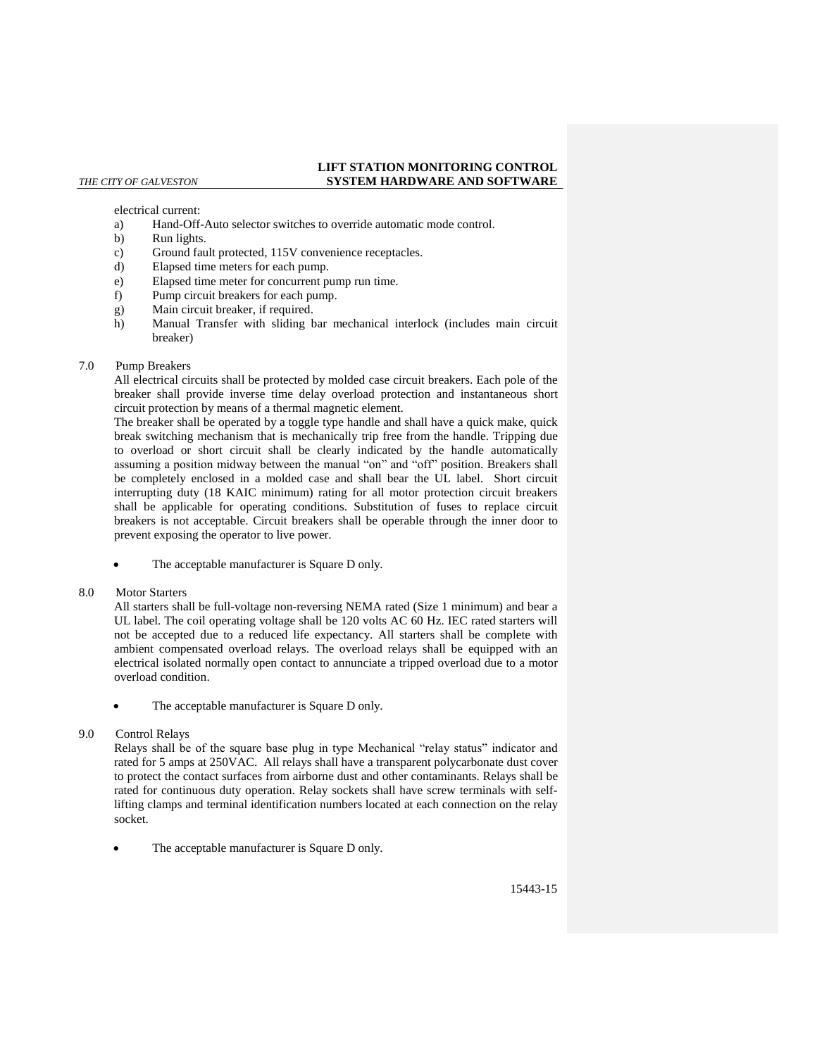# electrical current:

- a) Hand-Off-Auto selector switches to override automatic mode control.
- b) Run lights.
- c) Ground fault protected, 115V convenience receptacles.
- d) Elapsed time meters for each pump.
- e) Elapsed time meter for concurrent pump run time.
- f) Pump circuit breakers for each pump.
- g) Main circuit breaker, if required.
- h) Manual Transfer with sliding bar mechanical interlock (includes main circuit breaker)

### 7.0 Pump Breakers

All electrical circuits shall be protected by molded case circuit breakers. Each pole of the breaker shall provide inverse time delay overload protection and instantaneous short circuit protection by means of a thermal magnetic element.

The breaker shall be operated by a toggle type handle and shall have a quick make, quick break switching mechanism that is mechanically trip free from the handle. Tripping due to overload or short circuit shall be clearly indicated by the handle automatically assuming a position midway between the manual "on" and "off" position. Breakers shall be completely enclosed in a molded case and shall bear the UL label. Short circuit interrupting duty (18 KAIC minimum) rating for all motor protection circuit breakers shall be applicable for operating conditions. Substitution of fuses to replace circuit breakers is not acceptable. Circuit breakers shall be operable through the inner door to prevent exposing the operator to live power.

The acceptable manufacturer is Square D only.

## 8.0 Motor Starters

All starters shall be full-voltage non-reversing NEMA rated (Size 1 minimum) and bear a UL label. The coil operating voltage shall be 120 volts AC 60 Hz. IEC rated starters will not be accepted due to a reduced life expectancy. All starters shall be complete with ambient compensated overload relays. The overload relays shall be equipped with an electrical isolated normally open contact to annunciate a tripped overload due to a motor overload condition.

The acceptable manufacturer is Square D only.

## 9.0 Control Relays

Relays shall be of the square base plug in type Mechanical "relay status" indicator and rated for 5 amps at 250VAC. All relays shall have a transparent polycarbonate dust cover to protect the contact surfaces from airborne dust and other contaminants. Relays shall be rated for continuous duty operation. Relay sockets shall have screw terminals with selflifting clamps and terminal identification numbers located at each connection on the relay socket.

The acceptable manufacturer is Square D only.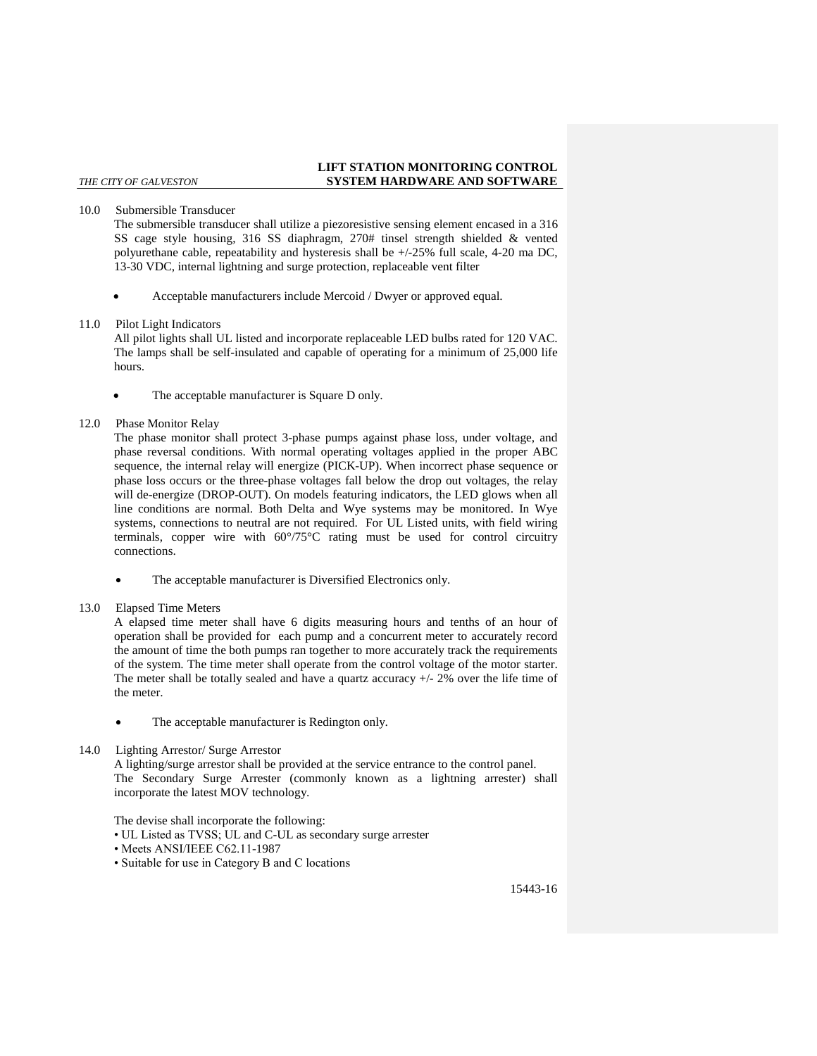## 10.0 Submersible Transducer

The submersible transducer shall utilize a piezoresistive sensing element encased in a 316 SS cage style housing, 316 SS diaphragm, 270# tinsel strength shielded & vented polyurethane cable, repeatability and hysteresis shall be +/-25% full scale, 4-20 ma DC, 13-30 VDC, internal lightning and surge protection, replaceable vent filter

- Acceptable manufacturers include Mercoid / Dwyer or approved equal.
- 11.0 Pilot Light Indicators

All pilot lights shall UL listed and incorporate replaceable LED bulbs rated for 120 VAC. The lamps shall be self-insulated and capable of operating for a minimum of 25,000 life hours.

The acceptable manufacturer is Square D only.

## 12.0 Phase Monitor Relay

The phase monitor shall protect 3-phase pumps against phase loss, under voltage, and phase reversal conditions. With normal operating voltages applied in the proper ABC sequence, the internal relay will energize (PICK-UP). When incorrect phase sequence or phase loss occurs or the three-phase voltages fall below the drop out voltages, the relay will de-energize (DROP-OUT). On models featuring indicators, the LED glows when all line conditions are normal. Both Delta and Wye systems may be monitored. In Wye systems, connections to neutral are not required. For UL Listed units, with field wiring terminals, copper wire with 60°/75°C rating must be used for control circuitry connections.

The acceptable manufacturer is Diversified Electronics only.

## 13.0 Elapsed Time Meters

A elapsed time meter shall have 6 digits measuring hours and tenths of an hour of operation shall be provided for each pump and a concurrent meter to accurately record the amount of time the both pumps ran together to more accurately track the requirements of the system. The time meter shall operate from the control voltage of the motor starter. The meter shall be totally sealed and have a quartz accuracy  $+/- 2\%$  over the life time of the meter.

- The acceptable manufacturer is Redington only.
- 14.0 Lighting Arrestor/ Surge Arrestor

A lighting/surge arrestor shall be provided at the service entrance to the control panel. The Secondary Surge Arrester (commonly known as a lightning arrester) shall incorporate the latest MOV technology.

The devise shall incorporate the following:

- UL Listed as TVSS; UL and C-UL as secondary surge arrester
- Meets ANSI/IEEE C62.11-1987
- Suitable for use in Category B and C locations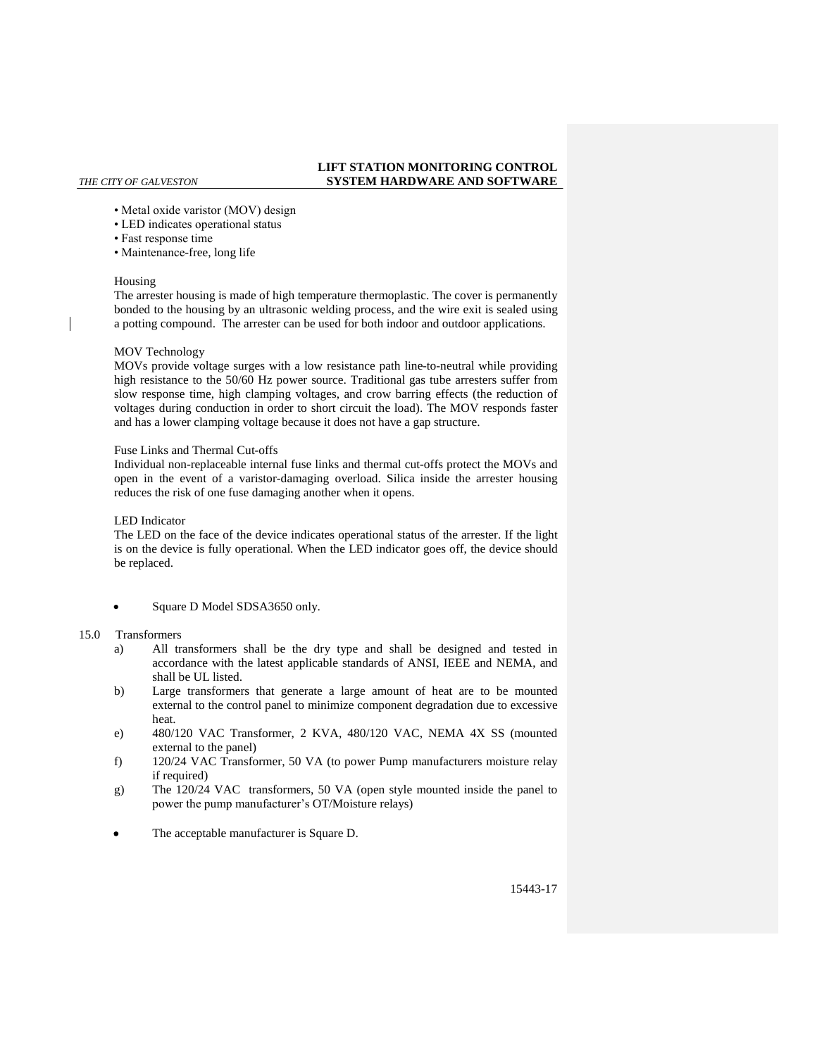- Metal oxide varistor (MOV) design
- LED indicates operational status
- Fast response time
- Maintenance-free, long life

## Housing

The arrester housing is made of high temperature thermoplastic. The cover is permanently bonded to the housing by an ultrasonic welding process, and the wire exit is sealed using a potting compound. The arrester can be used for both indoor and outdoor applications.

## MOV Technology

MOVs provide voltage surges with a low resistance path line-to-neutral while providing high resistance to the 50/60 Hz power source. Traditional gas tube arresters suffer from slow response time, high clamping voltages, and crow barring effects (the reduction of voltages during conduction in order to short circuit the load). The MOV responds faster and has a lower clamping voltage because it does not have a gap structure.

## Fuse Links and Thermal Cut-offs

Individual non-replaceable internal fuse links and thermal cut-offs protect the MOVs and open in the event of a varistor-damaging overload. Silica inside the arrester housing reduces the risk of one fuse damaging another when it opens.

## LED Indicator

The LED on the face of the device indicates operational status of the arrester. If the light is on the device is fully operational. When the LED indicator goes off, the device should be replaced.

• Square D Model SDSA3650 only.

## 15.0 Transformers

- a) All transformers shall be the dry type and shall be designed and tested in accordance with the latest applicable standards of ANSI, IEEE and NEMA, and shall be UL listed.
- b) Large transformers that generate a large amount of heat are to be mounted external to the control panel to minimize component degradation due to excessive heat.
- e) 480/120 VAC Transformer, 2 KVA, 480/120 VAC, NEMA 4X SS (mounted external to the panel)
- f) 120/24 VAC Transformer, 50 VA (to power Pump manufacturers moisture relay if required)
- g) The 120/24 VAC transformers, 50 VA (open style mounted inside the panel to power the pump manufacturer's OT/Moisture relays)
- The acceptable manufacturer is Square D.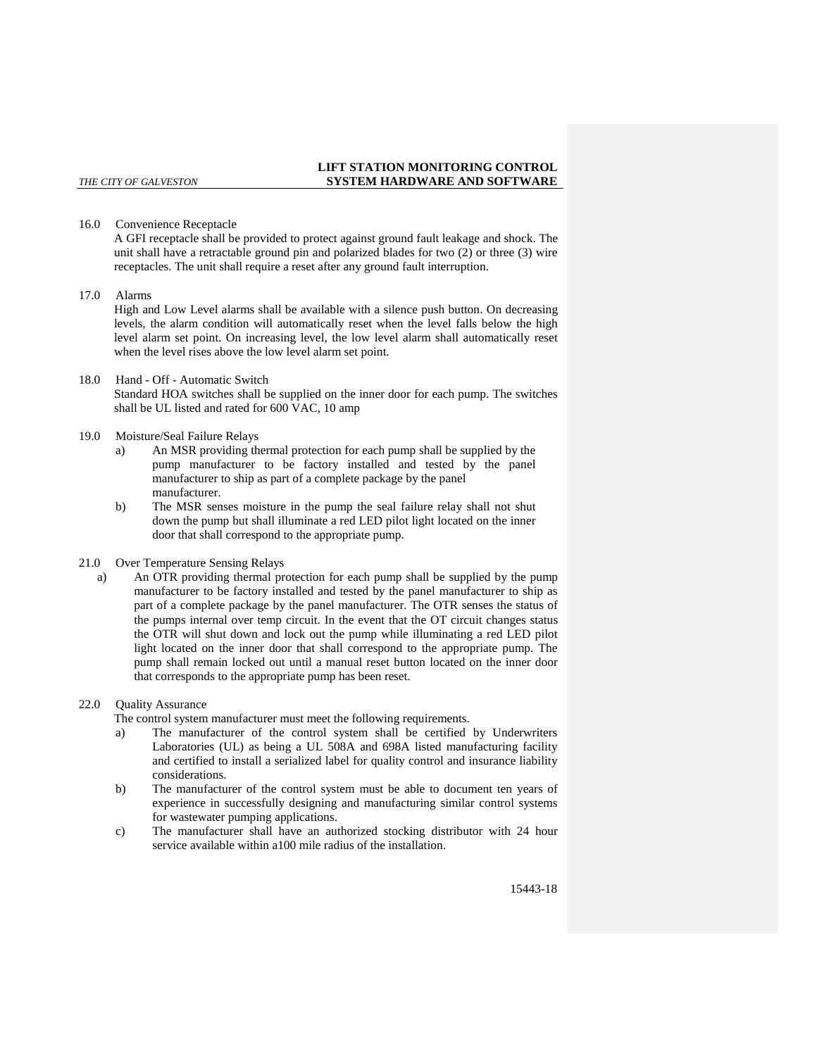### 16.0 Convenience Receptacle

A GFI receptacle shall be provided to protect against ground fault leakage and shock. The unit shall have a retractable ground pin and polarized blades for two (2) or three (3) wire receptacles. The unit shall require a reset after any ground fault interruption.

### 17.0 Alarms

High and Low Level alarms shall be available with a silence push button. On decreasing levels, the alarm condition will automatically reset when the level falls below the high level alarm set point. On increasing level, the low level alarm shall automatically reset when the level rises above the low level alarm set point.

## 18.0 Hand - Off - Automatic Switch

Standard HOA switches shall be supplied on the inner door for each pump. The switches shall be UL listed and rated for 600 VAC, 10 amp

### 19.0 Moisture/Seal Failure Relays

- a) An MSR providing thermal protection for each pump shall be supplied by the pump manufacturer to be factory installed and tested by the panel manufacturer to ship as part of a complete package by the panel manufacturer.
- b) The MSR senses moisture in the pump the seal failure relay shall not shut down the pump but shall illuminate a red LED pilot light located on the inner door that shall correspond to the appropriate pump.

## 21.0 Over Temperature Sensing Relays

a) An OTR providing thermal protection for each pump shall be supplied by the pump manufacturer to be factory installed and tested by the panel manufacturer to ship as part of a complete package by the panel manufacturer. The OTR senses the status of the pumps internal over temp circuit. In the event that the OT circuit changes status the OTR will shut down and lock out the pump while illuminating a red LED pilot light located on the inner door that shall correspond to the appropriate pump. The pump shall remain locked out until a manual reset button located on the inner door that corresponds to the appropriate pump has been reset.

## 22.0 Ouality Assurance

The control system manufacturer must meet the following requirements.

- a) The manufacturer of the control system shall be certified by Underwriters Laboratories (UL) as being a UL 508A and 698A listed manufacturing facility and certified to install a serialized label for quality control and insurance liability considerations.
- b) The manufacturer of the control system must be able to document ten years of experience in successfully designing and manufacturing similar control systems for wastewater pumping applications.
- c) The manufacturer shall have an authorized stocking distributor with 24 hour service available within a100 mile radius of the installation.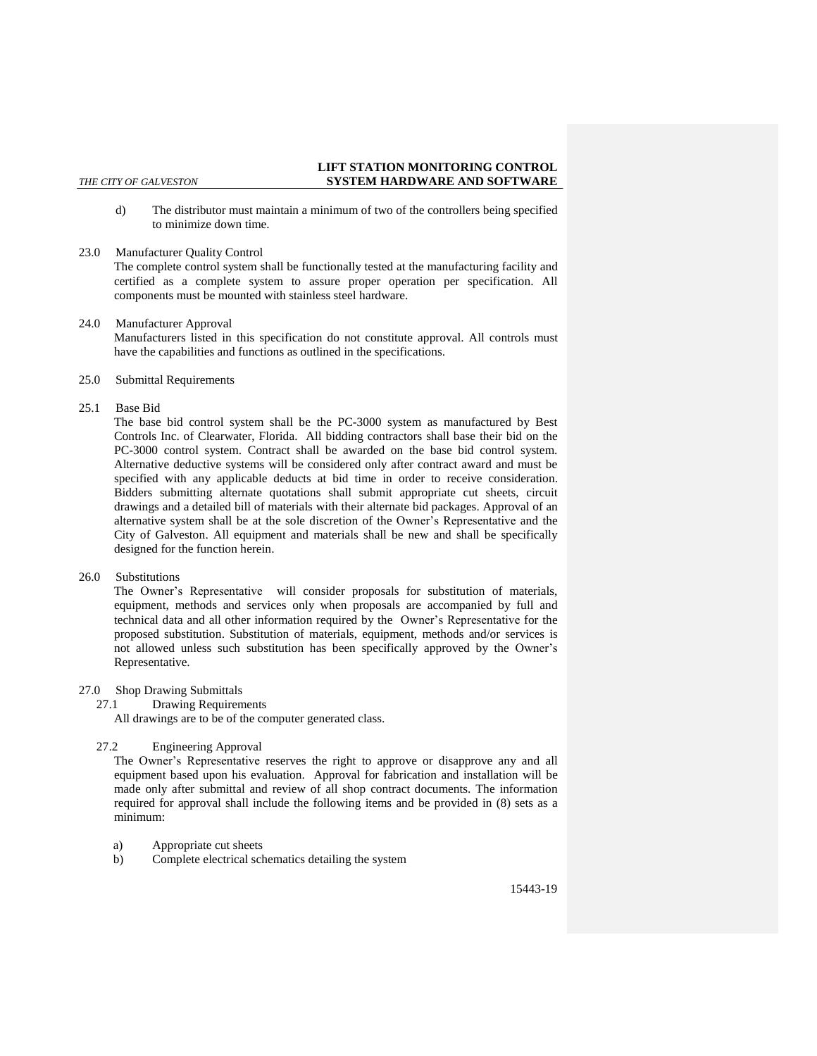d) The distributor must maintain a minimum of two of the controllers being specified to minimize down time.

#### 23.0 Manufacturer Quality Control

The complete control system shall be functionally tested at the manufacturing facility and certified as a complete system to assure proper operation per specification. All components must be mounted with stainless steel hardware.

24.0 Manufacturer Approval

Manufacturers listed in this specification do not constitute approval. All controls must have the capabilities and functions as outlined in the specifications.

- 25.0 Submittal Requirements
- 25.1 Base Bid

The base bid control system shall be the PC-3000 system as manufactured by Best Controls Inc. of Clearwater, Florida. All bidding contractors shall base their bid on the PC-3000 control system. Contract shall be awarded on the base bid control system. Alternative deductive systems will be considered only after contract award and must be specified with any applicable deducts at bid time in order to receive consideration. Bidders submitting alternate quotations shall submit appropriate cut sheets, circuit drawings and a detailed bill of materials with their alternate bid packages. Approval of an alternative system shall be at the sole discretion of the Owner's Representative and the City of Galveston. All equipment and materials shall be new and shall be specifically designed for the function herein.

26.0 Substitutions

The Owner's Representative will consider proposals for substitution of materials, equipment, methods and services only when proposals are accompanied by full and technical data and all other information required by the Owner's Representative for the proposed substitution. Substitution of materials, equipment, methods and/or services is not allowed unless such substitution has been specifically approved by the Owner's Representative.

- 27.0 Shop Drawing Submittals
	- 27.1 Drawing Requirements

All drawings are to be of the computer generated class.

27.2 Engineering Approval

The Owner's Representative reserves the right to approve or disapprove any and all equipment based upon his evaluation. Approval for fabrication and installation will be made only after submittal and review of all shop contract documents. The information required for approval shall include the following items and be provided in (8) sets as a minimum:

- a) Appropriate cut sheets
- b) Complete electrical schematics detailing the system